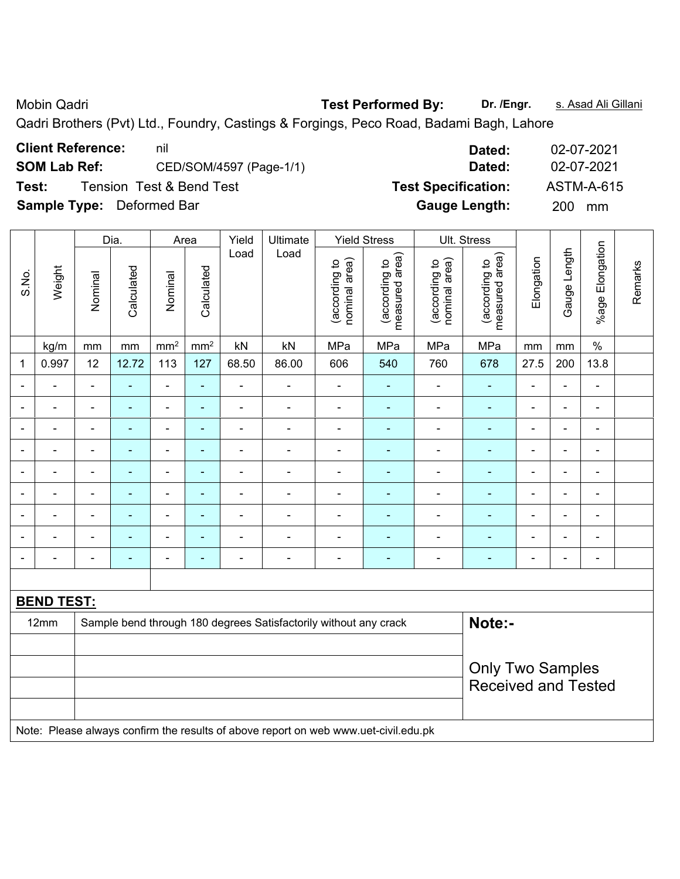Mobin Qadri **Test Performed By: Dr. /Engr.** s. Asad Ali Gillani

Qadri Brothers (Pvt) Ltd., Foundry, Castings & Forgings, Peco Road, Badami Bagh, Lahore

| <b>Client Reference:</b>         | nil                      | Dated:                     | 02-07-2021 |
|----------------------------------|--------------------------|----------------------------|------------|
| <b>SOM Lab Ref:</b>              | CED/SOM/4597 (Page-1/1)  | Dated:                     | 02-07-2021 |
| Test:                            | Tension Test & Bend Test | <b>Test Specification:</b> | ASTM-A-615 |
| <b>Sample Type:</b> Deformed Bar |                          | <b>Gauge Length:</b>       | 200 mm     |

|                |                                                                            |                          |                              |                          | Yield                    | Ultimate       |                                |                                 |                                |                                 |                |                |                          |                                                                          |
|----------------|----------------------------------------------------------------------------|--------------------------|------------------------------|--------------------------|--------------------------|----------------|--------------------------------|---------------------------------|--------------------------------|---------------------------------|----------------|----------------|--------------------------|--------------------------------------------------------------------------|
| Weight         | Nominal                                                                    | Calculated               | Nominal                      | Calculated               |                          |                | nominal area)<br>(according to | measured area)<br>(according to | (according to<br>nominal area) | measured area)<br>(according to | Elongation     |                |                          | Remarks                                                                  |
| kg/m           | mm                                                                         | $\,mm$                   | $\text{mm}^2$                | mm <sup>2</sup>          | kN                       | kN             | MPa                            | MPa                             | MPa                            | MPa                             | mm             | mm             | $\%$                     |                                                                          |
| 0.997          | 12                                                                         | 12.72                    | 113                          | 127                      | 68.50                    | 86.00          | 606                            | 540                             | 760                            | 678                             | 27.5           | 200            | 13.8                     |                                                                          |
| ÷,             | $\blacksquare$                                                             | ۰                        | $\blacksquare$               | ÷                        | $\blacksquare$           | $\blacksquare$ | $\blacksquare$                 | $\overline{\phantom{0}}$        | $\blacksquare$                 | $\blacksquare$                  | $\blacksquare$ | ä,             | $\blacksquare$           |                                                                          |
| $\blacksquare$ | $\blacksquare$                                                             | $\blacksquare$           | $\blacksquare$               | $\blacksquare$           | $\blacksquare$           | $\blacksquare$ | $\blacksquare$                 | $\blacksquare$                  | $\blacksquare$                 | $\blacksquare$                  | $\blacksquare$ | ÷,             | $\blacksquare$           |                                                                          |
| ÷              | $\blacksquare$                                                             | L.                       | $\blacksquare$               | ۰                        | $\blacksquare$           | $\blacksquare$ | $\blacksquare$                 | $\blacksquare$                  | $\blacksquare$                 | ÷                               | $\blacksquare$ | L,             | $\blacksquare$           |                                                                          |
|                |                                                                            |                          | $\blacksquare$               | $\overline{\phantom{a}}$ | $\blacksquare$           | $\blacksquare$ |                                | ÷                               | $\blacksquare$                 | Ē.                              | $\blacksquare$ | L,             | $\blacksquare$           |                                                                          |
| -              | $\blacksquare$                                                             | $\overline{\phantom{0}}$ | $\blacksquare$               | $\blacksquare$           | $\blacksquare$           | $\blacksquare$ | $\blacksquare$                 | $\overline{\phantom{0}}$        | $\blacksquare$                 | $\blacksquare$                  | $\blacksquare$ | L,             | $\blacksquare$           |                                                                          |
| ÷,             | $\blacksquare$                                                             | ۰                        | $\qquad \qquad \blacksquare$ | ٠                        | $\blacksquare$           |                | $\blacksquare$                 | ÷                               | $\blacksquare$                 | ÷                               | $\blacksquare$ | ä,             | $\blacksquare$           |                                                                          |
|                |                                                                            |                          | ä,                           | ÷                        | $\blacksquare$           | ä,             |                                | $\blacksquare$                  | $\blacksquare$                 | ÷                               | $\blacksquare$ | L,             | $\blacksquare$           |                                                                          |
| -              | $\qquad \qquad \blacksquare$                                               | -                        | $\blacksquare$               | $\overline{\phantom{0}}$ | $\overline{\phantom{0}}$ | -              | $\blacksquare$                 | $\overline{\phantom{0}}$        |                                | ÷                               | $\blacksquare$ | -              | $\overline{\phantom{0}}$ |                                                                          |
| -              | $\blacksquare$                                                             | ÷                        | $\blacksquare$               | ۰                        | $\overline{\phantom{0}}$ | $\blacksquare$ | $\overline{\phantom{0}}$       | $\overline{\phantom{0}}$        | $\overline{\phantom{0}}$       | $\overline{\phantom{a}}$        | $\overline{a}$ | $\blacksquare$ | $\blacksquare$           |                                                                          |
|                |                                                                            |                          |                              |                          |                          |                |                                |                                 |                                |                                 |                |                |                          |                                                                          |
|                |                                                                            |                          |                              |                          |                          |                |                                |                                 |                                |                                 |                |                |                          |                                                                          |
|                | Note:-<br>Sample bend through 180 degrees Satisfactorily without any crack |                          |                              |                          |                          |                |                                |                                 |                                |                                 |                |                |                          |                                                                          |
|                |                                                                            |                          |                              |                          |                          |                |                                |                                 |                                |                                 |                |                |                          |                                                                          |
|                |                                                                            |                          |                              |                          |                          |                |                                |                                 |                                |                                 |                |                |                          |                                                                          |
|                |                                                                            |                          |                              |                          |                          |                |                                |                                 |                                |                                 |                |                |                          |                                                                          |
|                |                                                                            |                          |                              |                          |                          |                |                                |                                 |                                |                                 |                |                |                          |                                                                          |
|                | 12mm                                                                       | <b>BEND TEST:</b>        | Dia.                         |                          | Area                     | Load           | Load                           |                                 | <b>Yield Stress</b>            |                                 | Ult. Stress    |                | Gauge Length             | %age Elongation<br><b>Only Two Samples</b><br><b>Received and Tested</b> |

Note: Please always confirm the results of above report on web www.uet-civil.edu.pk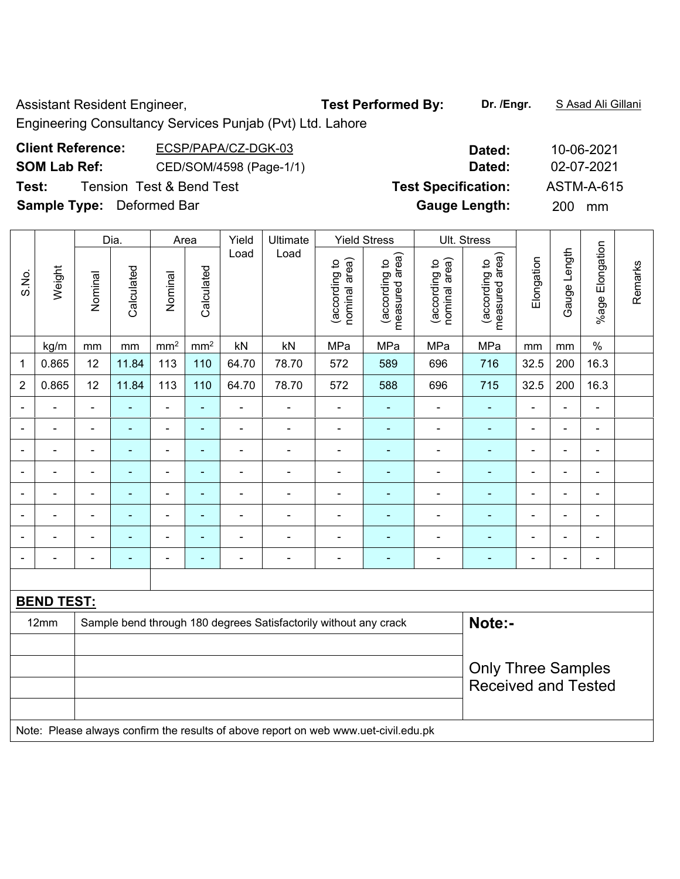Assistant Resident Engineer, **Test Performed By:** Dr. /Engr. **SAsad Ali Gillani** 

Engineering Consultancy Services Punjab (Pvt) Ltd. Lahore

| <b>Client Reference:</b>         | ECSP/PAPA/CZ-DGK-03                 | Dated:                     | 10-06-2021 |
|----------------------------------|-------------------------------------|----------------------------|------------|
| <b>SOM Lab Ref:</b>              | CED/SOM/4598 (Page-1/1)             | Dated:                     | 02-07-2021 |
| Test:                            | <b>Tension Test &amp; Bend Test</b> | <b>Test Specification:</b> | ASTM-A-615 |
| <b>Sample Type:</b> Deformed Bar |                                     | <b>Gauge Length:</b>       | 200 mm     |
|                                  |                                     |                            |            |

|                          |                   |                          | Dia.           |                 | Area                     | Yield                    | Ultimate                                                         |                                | <b>Yield Stress</b>             |                                | Ult. Stress                     |                |                |                          |         |
|--------------------------|-------------------|--------------------------|----------------|-----------------|--------------------------|--------------------------|------------------------------------------------------------------|--------------------------------|---------------------------------|--------------------------------|---------------------------------|----------------|----------------|--------------------------|---------|
| S.No.                    | Weight            | Nominal                  | Calculated     | Nominal         | Calculated               | Load                     | Load                                                             | (according to<br>nominal area) | measured area)<br>(according to | (according to<br>nominal area) | measured area)<br>(according to | Elongation     | Gauge Length   | %age Elongation          | Remarks |
|                          | kg/m              | mm                       | mm             | mm <sup>2</sup> | mm <sup>2</sup>          | kN                       | kN                                                               | MPa                            | MPa                             | MPa                            | MPa                             | mm             | mm             | $\%$                     |         |
| 1                        | 0.865             | 12                       | 11.84          | 113             | 110                      | 64.70                    | 78.70                                                            | 572                            | 589                             | 696                            | 716                             | 32.5           | 200            | 16.3                     |         |
| $\overline{2}$           | 0.865             | 12                       | 11.84          | 113             | 110                      | 64.70                    | 78.70                                                            | 572                            | 588                             | 696                            | 715                             | 32.5           | 200            | 16.3                     |         |
|                          |                   | $\overline{\phantom{a}}$ | $\blacksquare$ | ÷,              | $\blacksquare$           | ۰                        | $\blacksquare$                                                   | $\blacksquare$                 | ٠                               | $\overline{\phantom{a}}$       | $\frac{1}{2}$                   |                | $\blacksquare$ | $\overline{\phantom{0}}$ |         |
|                          | $\blacksquare$    | $\blacksquare$           | ۰              | ÷               | $\blacksquare$           | $\blacksquare$           | ٠                                                                | $\blacksquare$                 |                                 |                                | ۰                               | $\blacksquare$ | $\blacksquare$ | ٠                        |         |
| ۰                        | ۰                 | $\blacksquare$           | ۰              | ۰               | $\overline{\phantom{0}}$ | $\overline{a}$           | $\overline{a}$                                                   | $\blacksquare$                 | $\blacksquare$                  | $\overline{\phantom{a}}$       | ۰                               | $\blacksquare$ | $\blacksquare$ | ۰                        |         |
|                          | ۰                 | $\blacksquare$           | $\blacksquare$ | ÷               | $\overline{\phantom{0}}$ | $\overline{a}$           | $\blacksquare$                                                   | $\blacksquare$                 | $\blacksquare$                  | $\overline{\phantom{a}}$       | $\blacksquare$                  | $\blacksquare$ | -              | ۰                        |         |
|                          | ۰                 | $\blacksquare$           | $\blacksquare$ | $\overline{a}$  | $\blacksquare$           | $\overline{\phantom{0}}$ | ٠                                                                | $\blacksquare$                 |                                 |                                | $\blacksquare$                  | $\blacksquare$ | $\blacksquare$ | $\blacksquare$           |         |
| ۰                        | ۰                 | $\blacksquare$           | ۰              | ÷               | $\overline{\phantom{0}}$ | $\blacksquare$           | ٠                                                                | $\blacksquare$                 | $\blacksquare$                  | $\blacksquare$                 | ۰                               | $\blacksquare$ | $\blacksquare$ | ۰                        |         |
| $\overline{\phantom{0}}$ | $\blacksquare$    | $\blacksquare$           | $\blacksquare$ | ÷               | ٠                        | $\blacksquare$           | $\blacksquare$                                                   | $\blacksquare$                 | $\blacksquare$                  | $\blacksquare$                 | $\blacksquare$                  | $\blacksquare$ | ä,             | ۰                        |         |
|                          |                   | $\blacksquare$           | ۰              | $\overline{a}$  | $\overline{\phantom{0}}$ | $\overline{\phantom{a}}$ | $\overline{a}$                                                   | ٠                              |                                 | $\blacksquare$                 | ۰                               | $\blacksquare$ | $\blacksquare$ | $\blacksquare$           |         |
|                          |                   |                          |                |                 |                          |                          |                                                                  |                                |                                 |                                |                                 |                |                |                          |         |
|                          | <b>BEND TEST:</b> |                          |                |                 |                          |                          |                                                                  |                                |                                 |                                |                                 |                |                |                          |         |
|                          | 12mm              |                          |                |                 |                          |                          | Sample bend through 180 degrees Satisfactorily without any crack |                                |                                 |                                | Note:-                          |                |                |                          |         |
|                          |                   |                          |                |                 |                          |                          |                                                                  |                                |                                 |                                |                                 |                |                |                          |         |
|                          |                   |                          |                |                 |                          |                          |                                                                  |                                |                                 |                                | <b>Only Three Samples</b>       |                |                |                          |         |
|                          |                   |                          |                |                 |                          |                          |                                                                  |                                |                                 |                                | <b>Received and Tested</b>      |                |                |                          |         |
|                          |                   |                          |                |                 |                          |                          |                                                                  |                                |                                 |                                |                                 |                |                |                          |         |

Note: Please always confirm the results of above report on web www.uet-civil.edu.pk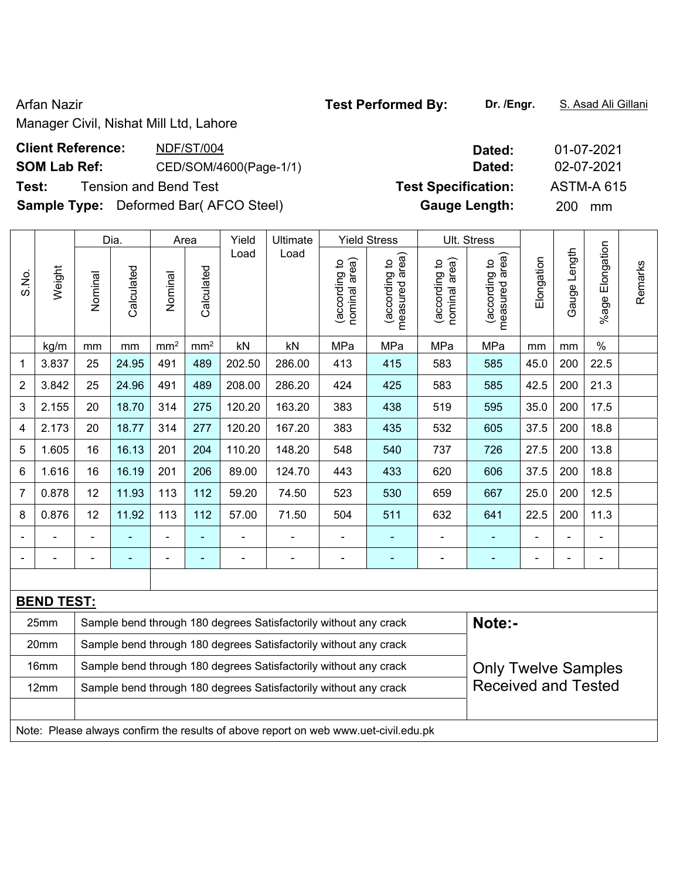Arfan Nazir **Test Performed By:** Dr. /Engr. **S. Asad Ali Gillani** Arfan Nazir

Manager Civil, Nishat Mill Ltd, Lahore

| <b>Client Reference:</b> | NDF/ST/004                                   | Dated:                     | 01-07-2021        |
|--------------------------|----------------------------------------------|----------------------------|-------------------|
| <b>SOM Lab Ref:</b>      | CED/SOM/4600(Page-1/1)                       | Dated:                     | 02-07-2021        |
| Test:                    | <b>Tension and Bend Test</b>                 | <b>Test Specification:</b> | <b>ASTM-A 615</b> |
|                          | <b>Sample Type:</b> Deformed Bar(AFCO Steel) | <b>Gauge Length:</b>       | 200<br>mm         |

|                |                   |                                                                            | Dia.           |                 | Area            | Yield          | Ultimate                                                         |                                | <b>Yield Stress</b>             |                                | Ult. Stress                     |                |                |                      |         |  |
|----------------|-------------------|----------------------------------------------------------------------------|----------------|-----------------|-----------------|----------------|------------------------------------------------------------------|--------------------------------|---------------------------------|--------------------------------|---------------------------------|----------------|----------------|----------------------|---------|--|
| S.No.          | Weight            | Nominal                                                                    | Calculated     | Nominal         | Calculated      | Load           | Load                                                             | nominal area)<br>(according to | (according to<br>measured area) | nominal area)<br>(according to | (according to<br>measured area) | Elongation     | Gauge Length   | Elongation<br>%age I | Remarks |  |
|                | kg/m              | mm                                                                         | mm             | mm <sup>2</sup> | mm <sup>2</sup> | kN             | kN                                                               | MPa                            | MPa                             | MPa                            | MPa                             | mm             | mm             | $\%$                 |         |  |
| 1              | 3.837             | 25                                                                         | 24.95          | 491             | 489             | 202.50         | 286.00                                                           | 413                            | 415                             | 583                            | 585                             | 45.0           | 200            | 22.5                 |         |  |
| $\overline{2}$ | 3.842             | 25                                                                         | 24.96          | 491             | 489             | 208.00         | 286.20                                                           | 424                            | 425                             | 583                            | 585                             | 42.5           | 200            | 21.3                 |         |  |
| 3              | 2.155             | 20                                                                         | 18.70          | 314             | 275             | 120.20         | 163.20                                                           | 383                            | 438                             | 519                            | 595                             | 35.0           | 200            | 17.5                 |         |  |
| 4              | 2.173             | 20                                                                         | 18.77          | 314             | 277             | 120.20         | 167.20                                                           | 383                            | 435                             | 532                            | 605                             | 37.5           | 200            | 18.8                 |         |  |
| 5              | 1.605             | 16                                                                         | 16.13          | 201             | 204             | 110.20         | 148.20                                                           | 548                            | 540                             | 737                            | 726                             | 27.5           | 200            | 13.8                 |         |  |
| 6              | 1.616             | 16                                                                         | 16.19          | 201             | 206             | 89.00          | 124.70                                                           | 443                            | 433                             | 620                            | 606                             | 37.5           | 200            | 18.8                 |         |  |
| 7              | 0.878             | 12                                                                         | 11.93          | 113             | 112             | 59.20          | 74.50                                                            | 523                            | 530                             | 659                            | 667                             | 25.0           | 200            | 12.5                 |         |  |
| 8              | 0.876             | 12                                                                         | 11.92          | 113             | 112             | 57.00          | 71.50                                                            | 504                            | 511                             | 632                            | 641                             | 22.5           | 200            | 11.3                 |         |  |
|                |                   |                                                                            |                | $\blacksquare$  |                 |                |                                                                  | -                              |                                 |                                |                                 |                |                |                      |         |  |
|                | ÷,                | $\blacksquare$                                                             | $\blacksquare$ | $\blacksquare$  | $\blacksquare$  | $\blacksquare$ | $\overline{\phantom{a}}$                                         | -                              | $\blacksquare$                  | $\blacksquare$                 | $\blacksquare$                  | $\overline{a}$ | $\blacksquare$ | $\blacksquare$       |         |  |
|                |                   |                                                                            |                |                 |                 |                |                                                                  |                                |                                 |                                |                                 |                |                |                      |         |  |
|                | <b>BEND TEST:</b> |                                                                            |                |                 |                 |                |                                                                  |                                |                                 |                                |                                 |                |                |                      |         |  |
|                | 25mm              | Note:-<br>Sample bend through 180 degrees Satisfactorily without any crack |                |                 |                 |                |                                                                  |                                |                                 |                                |                                 |                |                |                      |         |  |
|                | 20mm              |                                                                            |                |                 |                 |                | Sample bend through 180 degrees Satisfactorily without any crack |                                |                                 |                                |                                 |                |                |                      |         |  |
|                | 16mm              |                                                                            |                |                 |                 |                | Sample bend through 180 degrees Satisfactorily without any crack |                                |                                 |                                | <b>Only Twelve Samples</b>      |                |                |                      |         |  |
|                | 12mm              |                                                                            |                |                 |                 |                | Sample bend through 180 degrees Satisfactorily without any crack |                                |                                 |                                | <b>Received and Tested</b>      |                |                |                      |         |  |
|                |                   |                                                                            |                |                 |                 |                |                                                                  |                                |                                 |                                |                                 |                |                |                      |         |  |

Note: Please always confirm the results of above report on web www.uet-civil.edu.pk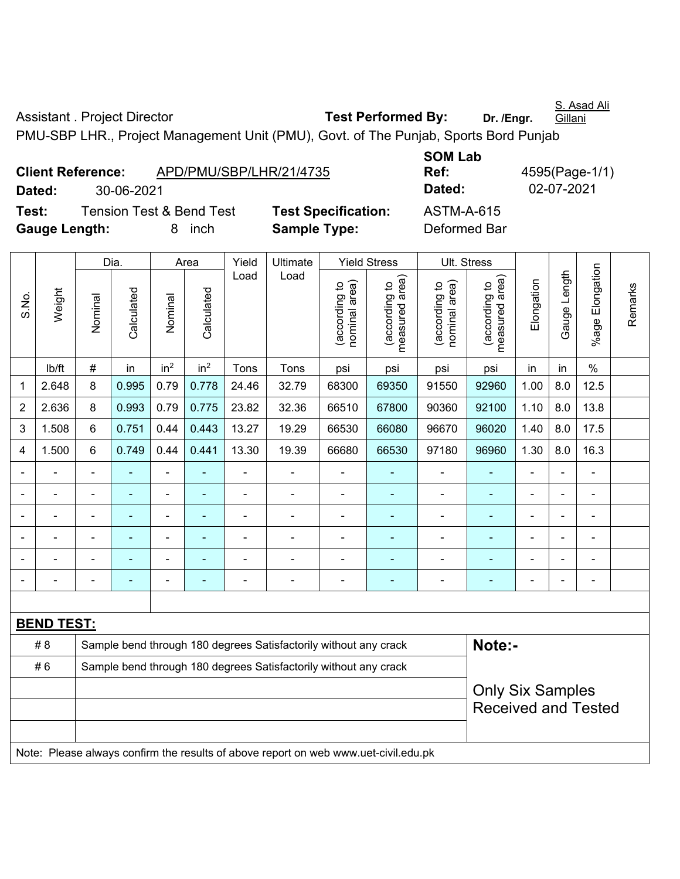S. Asad Ali Gillani

Assistant . Project Director **Test Performed By:** Dr. /Engr.

PMU-SBP LHR., Project Management Unit (PMU), Govt. of The Punjab, Sports Bord Punjab

| <b>Client Reference:</b> |            | APD/PMU/SBP/LHR/21/4735             |                           |
|--------------------------|------------|-------------------------------------|---------------------------|
| Dated:                   | 30-06-2021 |                                     |                           |
| Test:                    |            | <b>Tension Test &amp; Bend Test</b> | <b>Test Specification</b> |
| <b>Gauge Length:</b>     |            | 8 inch                              | <b>Sample Type:</b>       |

**SOM Lab Ref:** 4595(Page-1/1) **Dated:** 30-06-2021 **Dated:** 02-07-2021 **n:** ASTM-A-615 **Deformed Bar** 

|                |                   |                | Dia.                                                             |                 | Area            | Yield                    | Ultimate                                                                            |                                | <b>Yield Stress</b>             | Ult. Stress                    |                                 |                |                |                 |         |
|----------------|-------------------|----------------|------------------------------------------------------------------|-----------------|-----------------|--------------------------|-------------------------------------------------------------------------------------|--------------------------------|---------------------------------|--------------------------------|---------------------------------|----------------|----------------|-----------------|---------|
| S.No.          | Weight            | Nominal        | Calculated                                                       | Nominal         | Calculated      | Load                     | Load                                                                                | nominal area)<br>(according to | (according to<br>measured area) | nominal area)<br>(according to | measured area)<br>(according to | Elongation     | Gauge Length   | %age Elongation | Remarks |
|                | lb/ft             | $\#$           | in                                                               | in <sup>2</sup> | in <sup>2</sup> | Tons                     | Tons                                                                                | psi                            | psi                             | psi                            | psi                             | in             | in             | $\%$            |         |
| 1              | 2.648             | 8              | 0.995                                                            | 0.79            | 0.778           | 24.46                    | 32.79                                                                               | 68300                          | 69350                           | 91550                          | 92960                           | 1.00           | 8.0            | 12.5            |         |
| $\overline{2}$ | 2.636             | 8              | 0.993                                                            | 0.79            | 0.775           | 23.82                    | 32.36                                                                               | 66510                          | 67800                           | 90360                          | 92100                           | 1.10           | 8.0            | 13.8            |         |
| 3              | 1.508             | 6              | 0.751                                                            | 0.44            | 0.443           | 13.27                    | 19.29                                                                               | 66530                          | 66080                           | 96670                          | 96020                           | 1.40           | 8.0            | 17.5            |         |
| 4              | 1.500             | 6              | 0.749                                                            | 0.44            | 0.441           | 13.30                    | 19.39                                                                               | 66680                          | 66530                           | 97180                          | 96960                           | 1.30           | 8.0            | 16.3            |         |
|                | $\blacksquare$    | $\blacksquare$ | $\blacksquare$                                                   | ÷               | $\blacksquare$  | $\blacksquare$           | $\blacksquare$                                                                      | ä,                             | $\blacksquare$                  | $\blacksquare$                 | $\blacksquare$                  | ä,             | ä,             | ä,              |         |
|                |                   |                |                                                                  |                 |                 | $\blacksquare$           | $\blacksquare$                                                                      | $\blacksquare$                 | $\overline{\phantom{0}}$        | $\blacksquare$                 | $\blacksquare$                  |                |                | $\blacksquare$  |         |
|                |                   |                |                                                                  |                 |                 |                          | $\overline{\phantom{a}}$                                                            | $\blacksquare$                 | $\blacksquare$                  | $\blacksquare$                 | ٠                               | $\blacksquare$ |                | $\blacksquare$  |         |
|                |                   |                |                                                                  |                 |                 |                          |                                                                                     | $\blacksquare$                 |                                 | $\overline{\phantom{0}}$       | ٠                               | ٠              |                | ä,              |         |
|                |                   |                |                                                                  |                 |                 |                          |                                                                                     |                                | $\blacksquare$                  | $\blacksquare$                 | ÷                               | $\overline{a}$ | $\blacksquare$ | $\blacksquare$  |         |
| $\blacksquare$ |                   | $\blacksquare$ |                                                                  | $\overline{a}$  | $\blacksquare$  | $\overline{\phantom{0}}$ | $\blacksquare$                                                                      | $\blacksquare$                 | ٠                               | $\blacksquare$                 | ۰                               | $\blacksquare$ | $\blacksquare$ | $\blacksquare$  |         |
|                |                   |                |                                                                  |                 |                 |                          |                                                                                     |                                |                                 |                                |                                 |                |                |                 |         |
|                | <b>BEND TEST:</b> |                |                                                                  |                 |                 |                          |                                                                                     |                                |                                 |                                |                                 |                |                |                 |         |
|                | # 8               |                | Sample bend through 180 degrees Satisfactorily without any crack |                 | Note:-          |                          |                                                                                     |                                |                                 |                                |                                 |                |                |                 |         |
|                | #6                |                |                                                                  |                 |                 |                          | Sample bend through 180 degrees Satisfactorily without any crack                    |                                |                                 |                                |                                 |                |                |                 |         |
|                |                   |                |                                                                  |                 |                 |                          |                                                                                     |                                |                                 |                                | <b>Only Six Samples</b>         |                |                |                 |         |
|                |                   |                |                                                                  |                 |                 |                          |                                                                                     |                                |                                 |                                | <b>Received and Tested</b>      |                |                |                 |         |
|                |                   |                |                                                                  |                 |                 |                          | Note: Please always confirm the results of above report on web www.uet-civil.edu.pk |                                |                                 |                                |                                 |                |                |                 |         |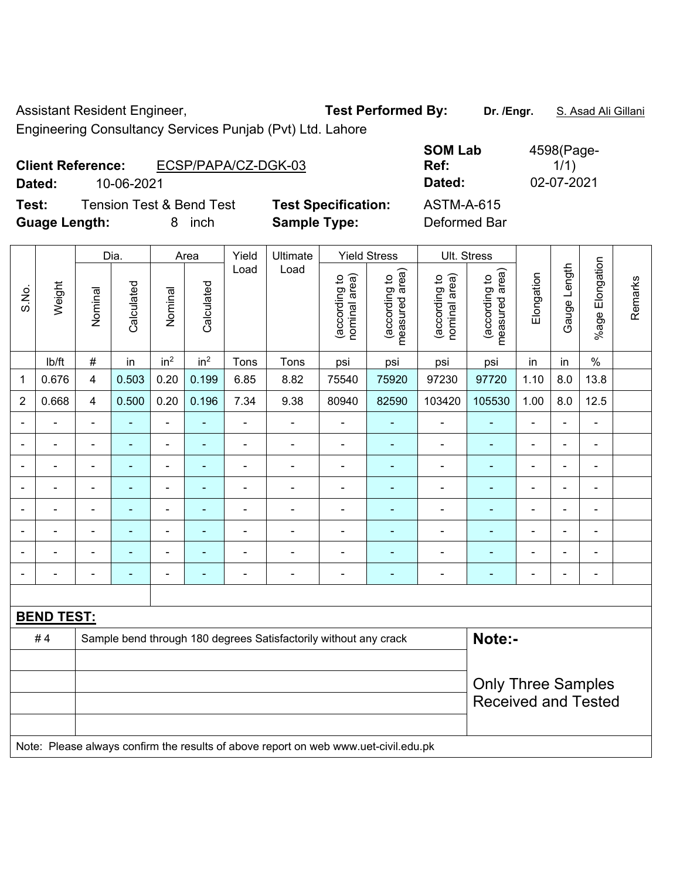Assistant Resident Engineer, **Test Performed By:** Dr. /Engr. **S. Asad Ali Gillani** 

Engineering Consultancy Services Punjab (Pvt) Ltd. Lahore

| <b>Client Reference:</b> |                                     |   | ECSP/PAPA/CZ-DGK-03 |                            | <b>JUIVI LAD</b><br>Ref: |  |
|--------------------------|-------------------------------------|---|---------------------|----------------------------|--------------------------|--|
| Dated:                   | 10-06-2021                          |   |                     |                            | Dated:                   |  |
| Test:                    | <b>Tension Test &amp; Bend Test</b> |   |                     | <b>Test Specification:</b> | <b>ASTM-A-615</b>        |  |
| <b>Guage Length:</b>     |                                     | 8 | inch                | <b>Sample Type:</b>        | Deformed Bar             |  |

**SOM Lab Ref:**  4598(Page-1/1) **Dated:** 10-06-2021 **Dated:** 02-07-2021 **Testigm:** ASTM-A-615

|                |                          |                                                                  | Dia.           |                 | Area                     | Yield          | Ultimate                                                                            |                                | <b>Yield Stress</b>             |                                | Ult. Stress                     |                |                |                          |         |
|----------------|--------------------------|------------------------------------------------------------------|----------------|-----------------|--------------------------|----------------|-------------------------------------------------------------------------------------|--------------------------------|---------------------------------|--------------------------------|---------------------------------|----------------|----------------|--------------------------|---------|
| S.No.          | Weight                   | Nominal                                                          | Calculated     | Nominal         | Calculated               | Load           | Load                                                                                | nominal area)<br>(according to | measured area)<br>(according to | nominal area)<br>(according to | (according to<br>measured area) | Elongation     | Gauge Length   | Elongation<br>%age l     | Remarks |
|                | Ib/ft                    | $\#$                                                             | in             | in <sup>2</sup> | in <sup>2</sup>          | Tons           | Tons                                                                                | psi                            | psi                             | psi                            | psi                             | in             | in             | $\%$                     |         |
| $\mathbf{1}$   | 0.676                    | $\overline{4}$                                                   | 0.503          | 0.20            | 0.199                    | 6.85           | 8.82                                                                                | 75540                          | 75920                           | 97230                          | 97720                           | 1.10           | 8.0            | 13.8                     |         |
| $\overline{2}$ | 0.668                    | $\overline{4}$                                                   | 0.500          | 0.20            | 0.196                    | 7.34           | 9.38                                                                                | 80940                          | 82590                           | 103420                         | 105530                          | 1.00           | 8.0            | 12.5                     |         |
|                |                          | $\blacksquare$                                                   |                | ä,              |                          | $\blacksquare$ | ä,                                                                                  | $\blacksquare$                 |                                 | ä,                             |                                 | L,             |                | $\overline{\phantom{a}}$ |         |
| $\blacksquare$ | ÷                        | ä,                                                               | $\blacksquare$ | $\overline{a}$  | $\overline{\phantom{a}}$ | ä,             | $\blacksquare$                                                                      | ä,                             | ä,                              | $\blacksquare$                 | $\blacksquare$                  | $\blacksquare$ | $\blacksquare$ | $\blacksquare$           |         |
| $\blacksquare$ | Ē,                       | $\blacksquare$                                                   | ÷              | $\blacksquare$  | ۰                        | Ē,             | ÷                                                                                   | $\blacksquare$                 | $\blacksquare$                  | $\blacksquare$                 | $\blacksquare$                  | Ē,             | $\blacksquare$ | $\blacksquare$           |         |
| $\blacksquare$ | $\overline{\phantom{0}}$ | $\blacksquare$                                                   | $\blacksquare$ | $\blacksquare$  | ۰                        | Ē,             | ÷                                                                                   | $\blacksquare$                 | $\blacksquare$                  | $\blacksquare$                 | ٠                               | Ē,             | $\blacksquare$ | $\blacksquare$           |         |
| $\blacksquare$ | $\blacksquare$           |                                                                  | ÷              | $\blacksquare$  | $\blacksquare$           | $\blacksquare$ | $\overline{\phantom{a}}$                                                            | $\blacksquare$                 | $\overline{\phantom{0}}$        | $\overline{\phantom{a}}$       | ٠                               | $\blacksquare$ | $\blacksquare$ | $\blacksquare$           |         |
| $\blacksquare$ | $\blacksquare$           | $\overline{\phantom{a}}$                                         | $\blacksquare$ | $\blacksquare$  | ä,                       | Ē,             | ÷                                                                                   | $\blacksquare$                 | $\blacksquare$                  | $\blacksquare$                 | $\blacksquare$                  | ä,             | ä,             | $\blacksquare$           |         |
| $\blacksquare$ | $\blacksquare$           | $\blacksquare$                                                   | ä,             | $\blacksquare$  | ٠                        | $\blacksquare$ | ä,                                                                                  | ÷,                             | ٠                               | $\blacksquare$                 | $\blacksquare$                  | L.             | $\blacksquare$ | $\blacksquare$           |         |
|                |                          | $\blacksquare$                                                   | $\blacksquare$ | $\blacksquare$  | ÷                        | $\blacksquare$ | $\overline{a}$                                                                      | $\blacksquare$                 |                                 | $\blacksquare$                 | $\blacksquare$                  | Ē,             |                | $\blacksquare$           |         |
|                |                          |                                                                  |                |                 |                          |                |                                                                                     |                                |                                 |                                |                                 |                |                |                          |         |
|                | <b>BEND TEST:</b>        |                                                                  |                |                 |                          |                |                                                                                     |                                |                                 |                                |                                 |                |                |                          |         |
|                | #4                       | Sample bend through 180 degrees Satisfactorily without any crack |                |                 |                          |                |                                                                                     |                                |                                 |                                | Note:-                          |                |                |                          |         |
|                |                          |                                                                  |                |                 |                          |                |                                                                                     |                                |                                 |                                |                                 |                |                |                          |         |
|                |                          |                                                                  |                |                 |                          |                |                                                                                     |                                |                                 |                                | <b>Only Three Samples</b>       |                |                |                          |         |
|                |                          |                                                                  |                |                 |                          |                |                                                                                     |                                |                                 |                                | <b>Received and Tested</b>      |                |                |                          |         |
|                |                          |                                                                  |                |                 |                          |                |                                                                                     |                                |                                 |                                |                                 |                |                |                          |         |
|                |                          |                                                                  |                |                 |                          |                | Note: Please always confirm the results of above report on web www.uet-civil.edu.pk |                                |                                 |                                |                                 |                |                |                          |         |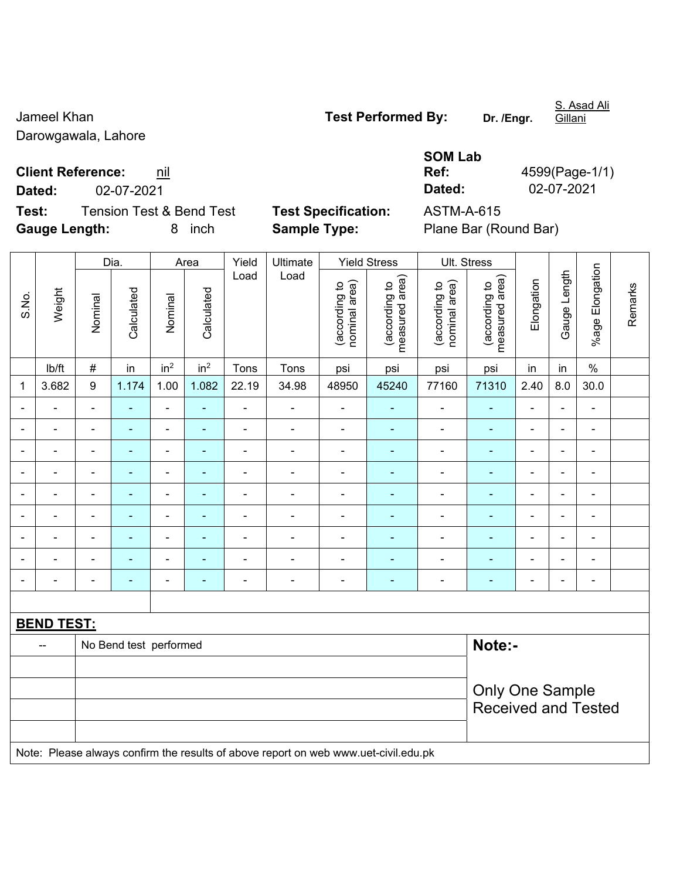Darowgawala, Lahore

Jameel Khan **Test Performed By:** Dr. /Engr.

S. Asad Ali Gillani

**Client Reference:** nil

**Test:** Tension Test & Bend Test **Test Specification:** ASTM-A-615 **Gauge Length:** 8 inch **Sample Type:** Plane Bar (Round Bar)

**SOM Lab Ref:** 4599(Page-1/1) **Dated:** 02-07-2021 **Dated:** 02-07-2021

|                          |                   |                          | Dia.                   |                              | Area                     | Yield          | Ultimate                                                                            |                                | <b>Yield Stress</b>             |                                | Ult. Stress                                          |                          |                          |                              |         |
|--------------------------|-------------------|--------------------------|------------------------|------------------------------|--------------------------|----------------|-------------------------------------------------------------------------------------|--------------------------------|---------------------------------|--------------------------------|------------------------------------------------------|--------------------------|--------------------------|------------------------------|---------|
| S.No.                    | Weight            | Nominal                  | Calculated             | Nominal                      | Calculated               | Load           | Load                                                                                | nominal area)<br>(according to | (according to<br>measured area) | (according to<br>nominal area) | (according to<br>measured area)                      | Elongation               | Gauge Length             | %age Elongation              | Remarks |
|                          | lb/ft             | $\#$                     | in                     | in <sup>2</sup>              | in <sup>2</sup>          | Tons           | Tons                                                                                | psi                            | psi                             | psi                            | psi                                                  | in                       | in                       | $\%$                         |         |
| 1                        | 3.682             | $\boldsymbol{9}$         | 1.174                  | 1.00                         | 1.082                    | 22.19          | 34.98                                                                               | 48950                          | 45240                           | 77160                          | 71310                                                | 2.40                     | 8.0                      | 30.0                         |         |
|                          |                   | $\blacksquare$           | $\overline{a}$         | $\blacksquare$               |                          | ä,             | $\blacksquare$                                                                      | $\blacksquare$                 |                                 | $\overline{a}$                 | ä,                                                   | $\blacksquare$           |                          | $\blacksquare$               |         |
|                          |                   |                          |                        | -                            |                          | $\blacksquare$ | $\blacksquare$                                                                      | $\blacksquare$                 |                                 |                                |                                                      | $\blacksquare$           |                          | ۰                            |         |
|                          | $\blacksquare$    |                          | $\blacksquare$         | $\overline{\phantom{a}}$     |                          |                | $\blacksquare$                                                                      | $\blacksquare$                 | $\overline{\phantom{0}}$        |                                | $\blacksquare$                                       | $\blacksquare$           | $\overline{\phantom{0}}$ | $\blacksquare$               |         |
| $\overline{\phantom{0}}$ | ÷                 | $\blacksquare$           | ä,                     | $\blacksquare$               | ۰                        | $\blacksquare$ | $\overline{\phantom{a}}$                                                            | $\blacksquare$                 | $\blacksquare$                  | $\blacksquare$                 | ۰                                                    | $\blacksquare$           | $\blacksquare$           | $\qquad \qquad \blacksquare$ |         |
|                          | $\blacksquare$    | $\blacksquare$           | ÷                      | $\overline{\phantom{0}}$     | $\overline{\phantom{0}}$ | $\blacksquare$ | $\blacksquare$                                                                      | $\blacksquare$                 | ÷                               | $\overline{a}$                 | ÷,                                                   | $\overline{\phantom{a}}$ | Ē,                       | $\qquad \qquad \blacksquare$ |         |
|                          | $\blacksquare$    | $\overline{\phantom{a}}$ | ä,                     | $\blacksquare$               | $\blacksquare$           | ä,             | $\blacksquare$                                                                      | $\overline{\phantom{a}}$       | ÷                               | $\overline{\phantom{a}}$       | $\blacksquare$                                       | $\overline{\phantom{a}}$ | Ě.                       | ÷,                           |         |
|                          |                   |                          |                        | -                            |                          |                | $\blacksquare$                                                                      | ä,                             |                                 |                                |                                                      | $\overline{\phantom{a}}$ |                          | $\blacksquare$               |         |
|                          |                   |                          |                        | ä,                           |                          |                |                                                                                     | $\blacksquare$                 |                                 |                                |                                                      |                          |                          | $\blacksquare$               |         |
|                          |                   |                          | ÷                      | $\qquad \qquad \blacksquare$ | ۰                        | $\blacksquare$ | $\blacksquare$                                                                      | $\overline{\phantom{a}}$       | $\blacksquare$                  | $\overline{\phantom{a}}$       | $\blacksquare$                                       | $\blacksquare$           | ä,                       | $\qquad \qquad \blacksquare$ |         |
|                          |                   |                          |                        |                              |                          |                |                                                                                     |                                |                                 |                                |                                                      |                          |                          |                              |         |
|                          | <b>BEND TEST:</b> |                          |                        |                              |                          |                |                                                                                     |                                |                                 |                                |                                                      |                          |                          |                              |         |
|                          |                   |                          | No Bend test performed |                              |                          |                |                                                                                     |                                |                                 |                                | Note:-                                               |                          |                          |                              |         |
|                          |                   |                          |                        |                              |                          |                |                                                                                     |                                |                                 |                                |                                                      |                          |                          |                              |         |
|                          |                   |                          |                        |                              |                          |                |                                                                                     |                                |                                 |                                | <b>Only One Sample</b><br><b>Received and Tested</b> |                          |                          |                              |         |
|                          |                   |                          |                        |                              |                          |                |                                                                                     |                                |                                 |                                |                                                      |                          |                          |                              |         |
|                          |                   |                          |                        |                              |                          |                | Note: Please always confirm the results of above report on web www.uet-civil.edu.pk |                                |                                 |                                |                                                      |                          |                          |                              |         |